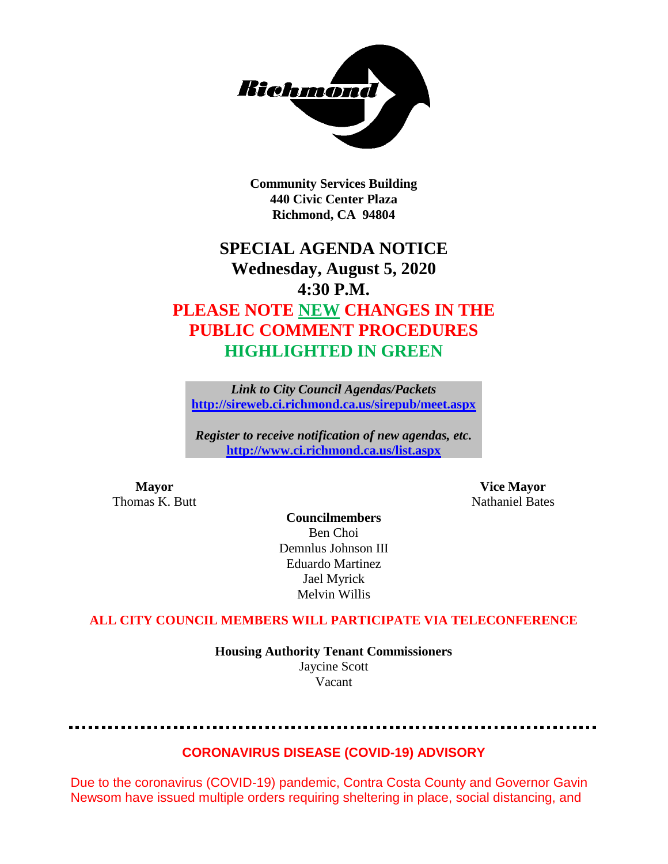

**Community Services Building 440 Civic Center Plaza Richmond, CA 94804**

# **SPECIAL AGENDA NOTICE Wednesday, August 5, 2020 4:30 P.M. PLEASE NOTE NEW CHANGES IN THE PUBLIC COMMENT PROCEDURES HIGHLIGHTED IN GREEN**

*Link to City Council Agendas/Packets* **<http://sireweb.ci.richmond.ca.us/sirepub/meet.aspx>**

*Register to receive notification of new agendas, etc.* **<http://www.ci.richmond.ca.us/list.aspx>**

**Mayor Vice Mayor** Thomas K. Butt Nathaniel Bates

**Councilmembers** Ben Choi Demnlus Johnson III Eduardo Martinez Jael Myrick Melvin Willis

### **ALL CITY COUNCIL MEMBERS WILL PARTICIPATE VIA TELECONFERENCE**

**Housing Authority Tenant Commissioners** Jaycine Scott Vacant

# **CORONAVIRUS DISEASE (COVID-19) ADVISORY**

Due to the coronavirus (COVID-19) pandemic, Contra Costa County and Governor Gavin Newsom have issued multiple orders requiring sheltering in place, social distancing, and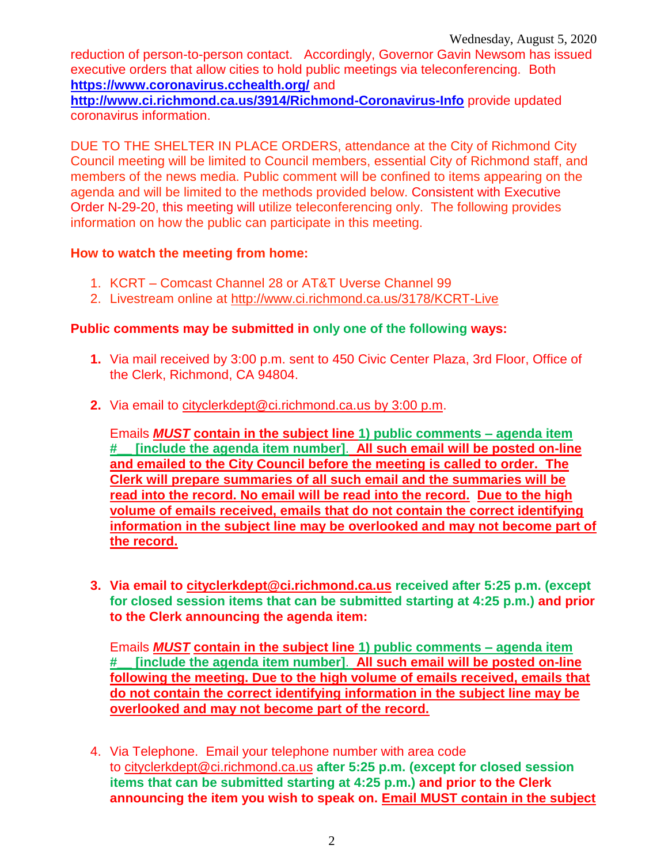reduction of person-to-person contact. Accordingly, Governor Gavin Newsom has issued executive orders that allow cities to hold public meetings via teleconferencing. Both **<https://www.coronavirus.cchealth.org/>** and

**<http://www.ci.richmond.ca.us/3914/Richmond-Coronavirus-Info>** provide updated coronavirus information.

DUE TO THE SHELTER IN PLACE ORDERS, attendance at the City of Richmond City Council meeting will be limited to Council members, essential City of Richmond staff, and members of the news media. Public comment will be confined to items appearing on the agenda and will be limited to the methods provided below. Consistent with Executive Order N-29-20, this meeting will utilize teleconferencing only. The following provides information on how the public can participate in this meeting.

#### **How to watch the meeting from home:**

- 1. KCRT Comcast Channel 28 or AT&T Uverse Channel 99
- 2. Livestream online at<http://www.ci.richmond.ca.us/3178/KCRT-Live>

#### **Public comments may be submitted in only one of the following ways:**

- **1.** Via mail received by 3:00 p.m. sent to 450 Civic Center Plaza, 3rd Floor, Office of the Clerk, Richmond, CA 94804.
- **2.** Via email to [cityclerkdept@ci.richmond.ca.us](mailto:cityclerkdept@ci.richmond.ca.us) by 3:00 p.m.

Emails *MUST* **contain in the subject line 1) public comments – agenda item #\_\_ [include the agenda item number]**. **All such email will be posted on-line and emailed to the City Council before the meeting is called to order. The Clerk will prepare summaries of all such email and the summaries will be read into the record. No email will be read into the record. Due to the high volume of emails received, emails that do not contain the correct identifying information in the subject line may be overlooked and may not become part of the record.**

**3. Via email to [cityclerkdept@ci.richmond.ca.us](mailto:cityclerkdept@ci.richmond.ca.us) received after 5:25 p.m. (except for closed session items that can be submitted starting at 4:25 p.m.) and prior to the Clerk announcing the agenda item:**

Emails *MUST* **contain in the subject line 1) public comments – agenda item #\_\_ [include the agenda item number]**. **All such email will be posted on-line following the meeting. Due to the high volume of emails received, emails that do not contain the correct identifying information in the subject line may be overlooked and may not become part of the record.**

4. Via Telephone. Email your telephone number with area code to [cityclerkdept@ci.richmond.ca.us](mailto:cityclerkdept@ci.richmond.ca.us) **after 5:25 p.m. (except for closed session items that can be submitted starting at 4:25 p.m.) and prior to the Clerk announcing the item you wish to speak on. Email MUST contain in the subject**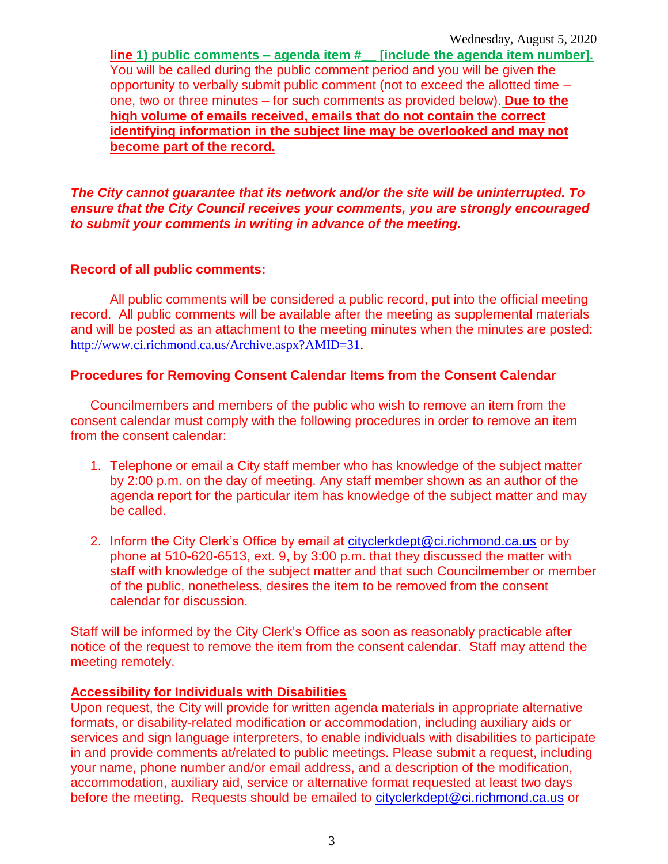**line 1) public comments – agenda item #\_\_ [include the agenda item number].** You will be called during the public comment period and you will be given the opportunity to verbally submit public comment (not to exceed the allotted time – one, two or three minutes – for such comments as provided below). **Due to the high volume of emails received, emails that do not contain the correct identifying information in the subject line may be overlooked and may not become part of the record.**

*The City cannot guarantee that its network and/or the site will be uninterrupted. To ensure that the City Council receives your comments, you are strongly encouraged to submit your comments in writing in advance of the meeting.*

# **Record of all public comments:**

All public comments will be considered a public record, put into the official meeting record. All public comments will be available after the meeting as supplemental materials and will be posted as an attachment to the meeting minutes when the minutes are posted: [http://www.ci.richmond.ca.us/Archive.aspx?AMID=31.](http://www.ci.richmond.ca.us/Archive.aspx?AMID=31)

# **Procedures for Removing Consent Calendar Items from the Consent Calendar**

Councilmembers and members of the public who wish to remove an item from the consent calendar must comply with the following procedures in order to remove an item from the consent calendar:

- 1. Telephone or email a City staff member who has knowledge of the subject matter by 2:00 p.m. on the day of meeting. Any staff member shown as an author of the agenda report for the particular item has knowledge of the subject matter and may be called.
- 2. Inform the City Clerk's Office by email at [cityclerkdept@ci.richmond.ca.us](mailto:cityclerkdept@ci.richmond.ca.us) or by phone at 510-620-6513, ext. 9, by 3:00 p.m. that they discussed the matter with staff with knowledge of the subject matter and that such Councilmember or member of the public, nonetheless, desires the item to be removed from the consent calendar for discussion.

Staff will be informed by the City Clerk's Office as soon as reasonably practicable after notice of the request to remove the item from the consent calendar. Staff may attend the meeting remotely.

#### **Accessibility for Individuals with Disabilities**

Upon request, the City will provide for written agenda materials in appropriate alternative formats, or disability-related modification or accommodation, including auxiliary aids or services and sign language interpreters, to enable individuals with disabilities to participate in and provide comments at/related to public meetings. Please submit a request, including your name, phone number and/or email address, and a description of the modification, accommodation, auxiliary aid, service or alternative format requested at least two days before the meeting. Requests should be emailed to [cityclerkdept@ci.richmond.ca.us](mailto:cityclerkdept@ci.richmond.ca.us) or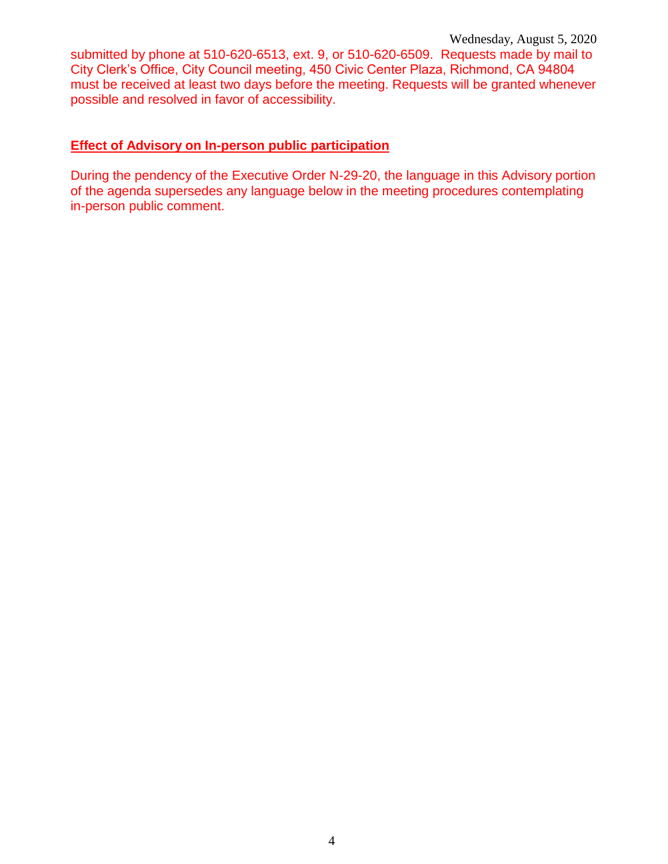submitted by phone at 510-620-6513, ext. 9, or 510-620-6509. Requests made by mail to City Clerk's Office, City Council meeting, 450 Civic Center Plaza, Richmond, CA 94804 must be received at least two days before the meeting. Requests will be granted whenever possible and resolved in favor of accessibility.

### **Effect of Advisory on In-person public participation**

During the pendency of the Executive Order N-29-20, the language in this Advisory portion of the agenda supersedes any language below in the meeting procedures contemplating in-person public comment.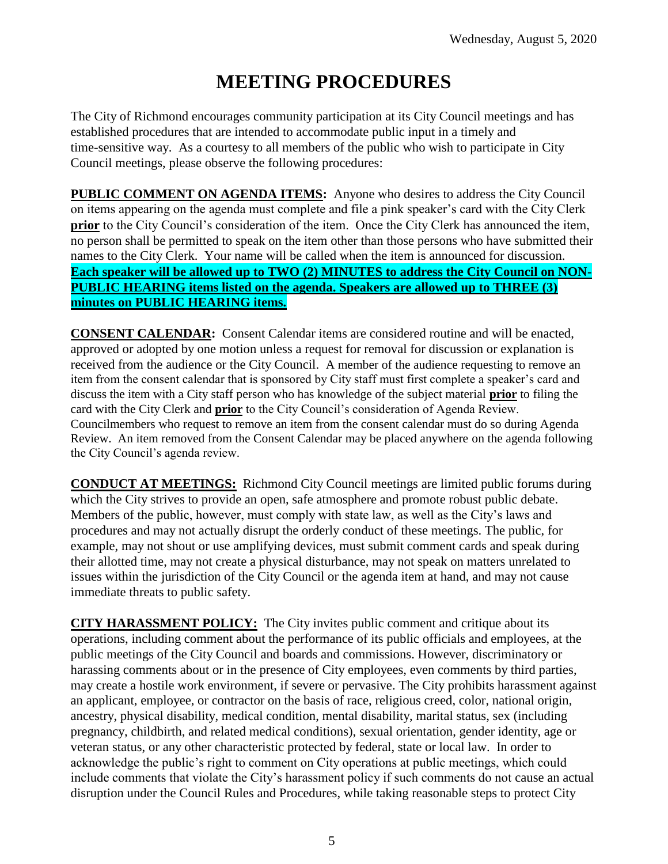# **MEETING PROCEDURES**

The City of Richmond encourages community participation at its City Council meetings and has established procedures that are intended to accommodate public input in a timely and time-sensitive way. As a courtesy to all members of the public who wish to participate in City Council meetings, please observe the following procedures:

**PUBLIC COMMENT ON AGENDA ITEMS:** Anyone who desires to address the City Council on items appearing on the agenda must complete and file a pink speaker's card with the City Clerk **prior** to the City Council's consideration of the item. Once the City Clerk has announced the item, no person shall be permitted to speak on the item other than those persons who have submitted their names to the City Clerk. Your name will be called when the item is announced for discussion. **Each speaker will be allowed up to TWO (2) MINUTES to address the City Council on NON-PUBLIC HEARING items listed on the agenda. Speakers are allowed up to THREE (3) minutes on PUBLIC HEARING items.**

**CONSENT CALENDAR:** Consent Calendar items are considered routine and will be enacted, approved or adopted by one motion unless a request for removal for discussion or explanation is received from the audience or the City Council. A member of the audience requesting to remove an item from the consent calendar that is sponsored by City staff must first complete a speaker's card and discuss the item with a City staff person who has knowledge of the subject material **prior** to filing the card with the City Clerk and **prior** to the City Council's consideration of Agenda Review. Councilmembers who request to remove an item from the consent calendar must do so during Agenda Review. An item removed from the Consent Calendar may be placed anywhere on the agenda following the City Council's agenda review.

**CONDUCT AT MEETINGS:** Richmond City Council meetings are limited public forums during which the City strives to provide an open, safe atmosphere and promote robust public debate. Members of the public, however, must comply with state law, as well as the City's laws and procedures and may not actually disrupt the orderly conduct of these meetings. The public, for example, may not shout or use amplifying devices, must submit comment cards and speak during their allotted time, may not create a physical disturbance, may not speak on matters unrelated to issues within the jurisdiction of the City Council or the agenda item at hand, and may not cause immediate threats to public safety.

**CITY HARASSMENT POLICY:** The City invites public comment and critique about its operations, including comment about the performance of its public officials and employees, at the public meetings of the City Council and boards and commissions. However, discriminatory or harassing comments about or in the presence of City employees, even comments by third parties, may create a hostile work environment, if severe or pervasive. The City prohibits harassment against an applicant, employee, or contractor on the basis of race, religious creed, color, national origin, ancestry, physical disability, medical condition, mental disability, marital status, sex (including pregnancy, childbirth, and related medical conditions), sexual orientation, gender identity, age or veteran status, or any other characteristic protected by federal, state or local law. In order to acknowledge the public's right to comment on City operations at public meetings, which could include comments that violate the City's harassment policy if such comments do not cause an actual disruption under the Council Rules and Procedures, while taking reasonable steps to protect City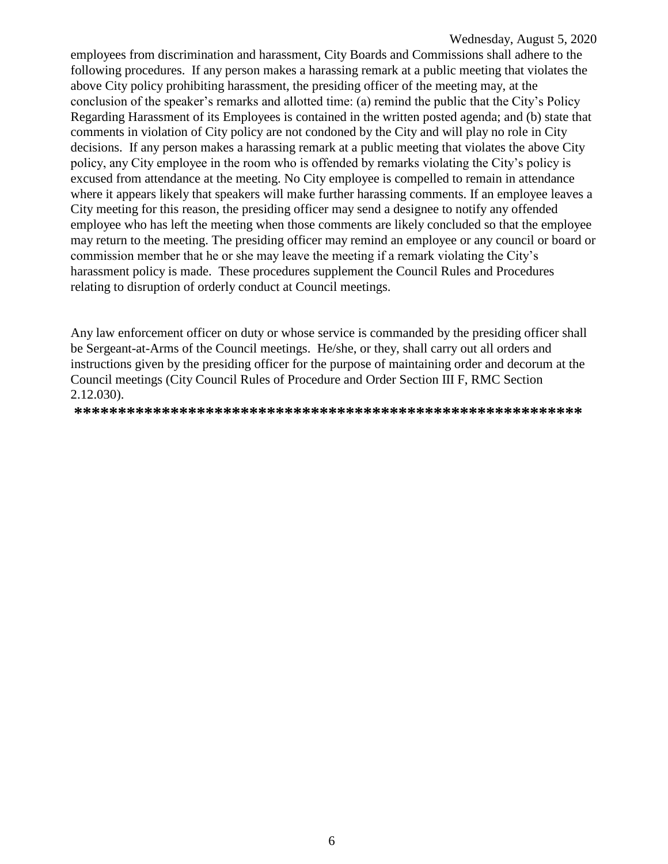employees from discrimination and harassment, City Boards and Commissions shall adhere to the following procedures. If any person makes a harassing remark at a public meeting that violates the above City policy prohibiting harassment, the presiding officer of the meeting may, at the conclusion of the speaker's remarks and allotted time: (a) remind the public that the City's Policy Regarding Harassment of its Employees is contained in the written posted agenda; and (b) state that comments in violation of City policy are not condoned by the City and will play no role in City decisions. If any person makes a harassing remark at a public meeting that violates the above City policy, any City employee in the room who is offended by remarks violating the City's policy is excused from attendance at the meeting. No City employee is compelled to remain in attendance where it appears likely that speakers will make further harassing comments. If an employee leaves a City meeting for this reason, the presiding officer may send a designee to notify any offended employee who has left the meeting when those comments are likely concluded so that the employee may return to the meeting. The presiding officer may remind an employee or any council or board or commission member that he or she may leave the meeting if a remark violating the City's harassment policy is made. These procedures supplement the Council Rules and Procedures relating to disruption of orderly conduct at Council meetings.

Any law enforcement officer on duty or whose service is commanded by the presiding officer shall be Sergeant-at-Arms of the Council meetings. He/she, or they, shall carry out all orders and instructions given by the presiding officer for the purpose of maintaining order and decorum at the Council meetings (City Council Rules of Procedure and Order Section III F, RMC Section 2.12.030).

**\*\*\*\*\*\*\*\*\*\*\*\*\*\*\*\*\*\*\*\*\*\*\*\*\*\*\*\*\*\*\*\*\*\*\*\*\*\*\*\*\*\*\*\*\*\*\*\*\*\*\*\*\*\*\*\*\*\***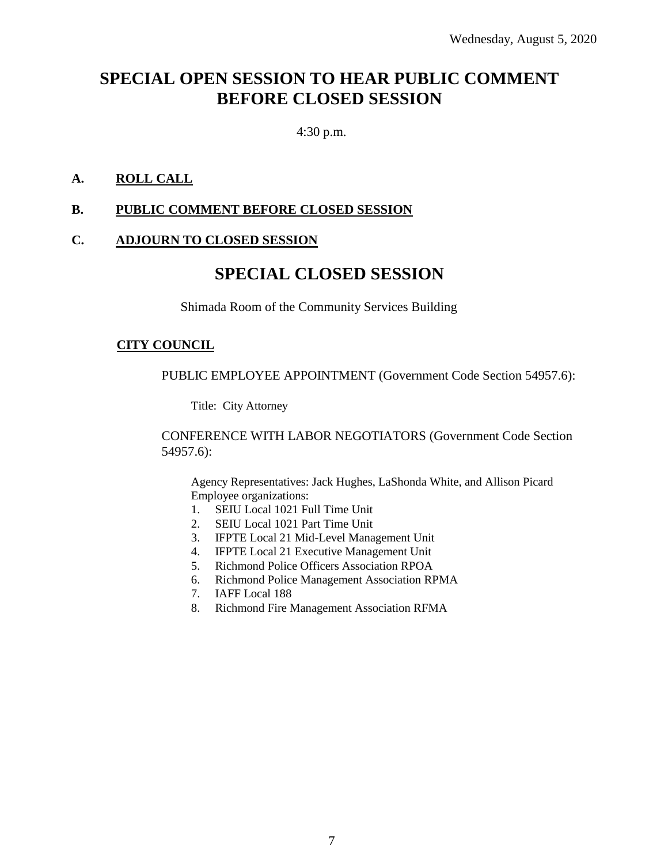# **SPECIAL OPEN SESSION TO HEAR PUBLIC COMMENT BEFORE CLOSED SESSION**

4:30 p.m.

### **A. ROLL CALL**

# **B. PUBLIC COMMENT BEFORE CLOSED SESSION**

#### **C. ADJOURN TO CLOSED SESSION**

# **SPECIAL CLOSED SESSION**

Shimada Room of the Community Services Building

#### **CITY COUNCIL**

PUBLIC EMPLOYEE APPOINTMENT (Government Code Section 54957.6):

Title: City Attorney

CONFERENCE WITH LABOR NEGOTIATORS (Government Code Section 54957.6):

Agency Representatives: Jack Hughes, LaShonda White, and Allison Picard Employee organizations:

- 1. SEIU Local 1021 Full Time Unit
- 2. SEIU Local 1021 Part Time Unit
- 3. IFPTE Local 21 Mid-Level Management Unit
- 4. IFPTE Local 21 Executive Management Unit
- 5. Richmond Police Officers Association RPOA
- 6. Richmond Police Management Association RPMA
- 7. IAFF Local 188
- 8. Richmond Fire Management Association RFMA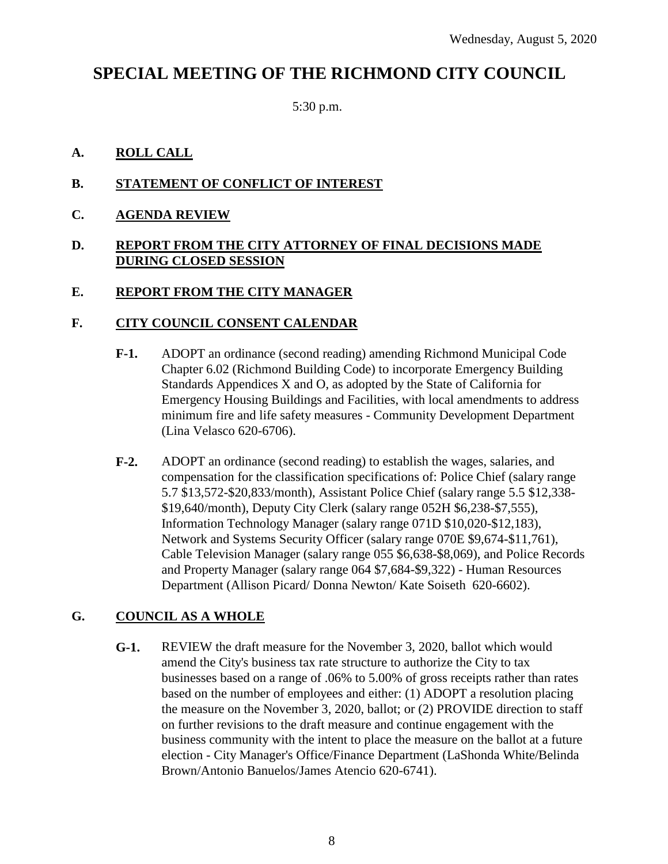# **SPECIAL MEETING OF THE RICHMOND CITY COUNCIL**

5:30 p.m.

# **A. ROLL CALL**

# **B. STATEMENT OF CONFLICT OF INTEREST**

**C. AGENDA REVIEW**

#### **D. REPORT FROM THE CITY ATTORNEY OF FINAL DECISIONS MADE DURING CLOSED SESSION**

# **E. REPORT FROM THE CITY MANAGER**

#### **F. CITY COUNCIL CONSENT CALENDAR**

- **F-1.** ADOPT an ordinance (second reading) amending Richmond Municipal Code Chapter 6.02 (Richmond Building Code) to incorporate Emergency Building Standards Appendices X and O, as adopted by the State of California for Emergency Housing Buildings and Facilities, with local amendments to address minimum fire and life safety measures - Community Development Department (Lina Velasco 620-6706).
- **F-2.** ADOPT an ordinance (second reading) to establish the wages, salaries, and compensation for the classification specifications of: Police Chief (salary range 5.7 \$13,572-\$20,833/month), Assistant Police Chief (salary range 5.5 \$12,338- \$19,640/month), Deputy City Clerk (salary range 052H \$6,238-\$7,555), Information Technology Manager (salary range 071D \$10,020-\$12,183), Network and Systems Security Officer (salary range 070E \$9,674-\$11,761), Cable Television Manager (salary range 055 \$6,638-\$8,069), and Police Records and Property Manager (salary range 064 \$7,684-\$9,322) - Human Resources Department (Allison Picard/ Donna Newton/ Kate Soiseth 620-6602).

# **G. COUNCIL AS A WHOLE**

**G-1.** REVIEW the draft measure for the November 3, 2020, ballot which would amend the City's business tax rate structure to authorize the City to tax businesses based on a range of .06% to 5.00% of gross receipts rather than rates based on the number of employees and either: (1) ADOPT a resolution placing the measure on the November 3, 2020, ballot; or (2) PROVIDE direction to staff on further revisions to the draft measure and continue engagement with the business community with the intent to place the measure on the ballot at a future election - City Manager's Office/Finance Department (LaShonda White/Belinda Brown/Antonio Banuelos/James Atencio 620-6741).